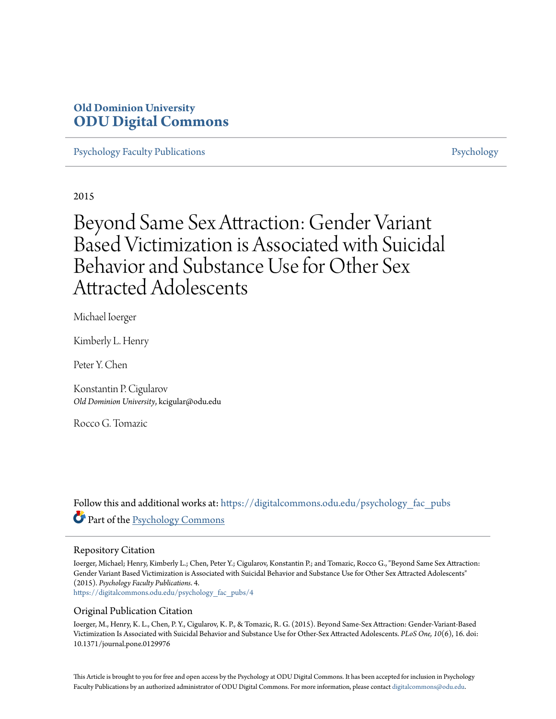# **Old Dominion University [ODU Digital Commons](https://digitalcommons.odu.edu?utm_source=digitalcommons.odu.edu%2Fpsychology_fac_pubs%2F4&utm_medium=PDF&utm_campaign=PDFCoverPages)**

[Psychology Faculty Publications](https://digitalcommons.odu.edu/psychology_fac_pubs?utm_source=digitalcommons.odu.edu%2Fpsychology_fac_pubs%2F4&utm_medium=PDF&utm_campaign=PDFCoverPages) **[Psychology](https://digitalcommons.odu.edu/psychology?utm_source=digitalcommons.odu.edu%2Fpsychology_fac_pubs%2F4&utm_medium=PDF&utm_campaign=PDFCoverPages)** Psychology

2015

# Beyond Same Sex Attraction: Gender Variant Based Victimization is Associated with Suicidal Behavior and Substance Use for Other Sex Attracted Adolescents

Michael Ioerger

Kimberly L. Henry

Peter Y. Chen

Konstantin P. Cigularov *Old Dominion University*, kcigular@odu.edu

Rocco G. Tomazic

Follow this and additional works at: [https://digitalcommons.odu.edu/psychology\\_fac\\_pubs](https://digitalcommons.odu.edu/psychology_fac_pubs?utm_source=digitalcommons.odu.edu%2Fpsychology_fac_pubs%2F4&utm_medium=PDF&utm_campaign=PDFCoverPages) Part of the [Psychology Commons](http://network.bepress.com/hgg/discipline/404?utm_source=digitalcommons.odu.edu%2Fpsychology_fac_pubs%2F4&utm_medium=PDF&utm_campaign=PDFCoverPages)

#### Repository Citation

Ioerger, Michael; Henry, Kimberly L.; Chen, Peter Y.; Cigularov, Konstantin P.; and Tomazic, Rocco G., "Beyond Same Sex Attraction: Gender Variant Based Victimization is Associated with Suicidal Behavior and Substance Use for Other Sex Attracted Adolescents" (2015). *Psychology Faculty Publications*. 4. [https://digitalcommons.odu.edu/psychology\\_fac\\_pubs/4](https://digitalcommons.odu.edu/psychology_fac_pubs/4?utm_source=digitalcommons.odu.edu%2Fpsychology_fac_pubs%2F4&utm_medium=PDF&utm_campaign=PDFCoverPages)

Original Publication Citation

Ioerger, M., Henry, K. L., Chen, P. Y., Cigularov, K. P., & Tomazic, R. G. (2015). Beyond Same-Sex Attraction: Gender-Variant-Based Victimization Is Associated with Suicidal Behavior and Substance Use for Other-Sex Attracted Adolescents. *PLoS One, 10*(6), 16. doi: 10.1371/journal.pone.0129976

This Article is brought to you for free and open access by the Psychology at ODU Digital Commons. It has been accepted for inclusion in Psychology Faculty Publications by an authorized administrator of ODU Digital Commons. For more information, please contact [digitalcommons@odu.edu.](mailto:digitalcommons@odu.edu)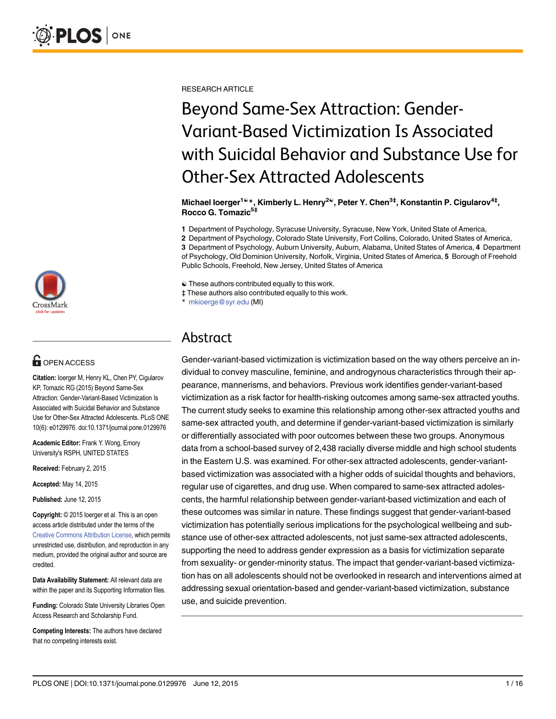

# **G** OPEN ACCESS

Citation: Ioerger M, Henry KL, Chen PY, Cigularov KP, Tomazic RG (2015) Beyond Same-Sex Attraction: Gender-Variant-Based Victimization Is Associated with Suicidal Behavior and Substance Use for Other-Sex Attracted Adolescents. PLoS ONE 10(6): e0129976. doi:10.1371/journal.pone.0129976

Academic Editor: Frank Y. Wong, Emory University's RSPH, UNITED STATES

Received: February 2, 2015

Accepted: May 14, 2015

Published: June 12, 2015

Copyright: © 2015 Ioerger et al. This is an open access article distributed under the terms of the [Creative Commons Attribution License,](http://creativecommons.org/licenses/by/4.0/) which permits unrestricted use, distribution, and reproduction in any medium, provided the original author and source are credited.

Data Availability Statement: All relevant data are within the paper and its Supporting Information files.

Funding: Colorado State University Libraries Open Access Research and Scholarship Fund.

Competing Interests: The authors have declared that no competing interests exist.

RESEARCH ARTICLE

# Beyond Same-Sex Attraction: Gender-Variant-Based Victimization Is Associated with Suicidal Behavior and Substance Use for Other-Sex Attracted Adolescents

Michael loerger<sup>1ଢ</sup>\*, Kimberly L. Henry<sup>2ଢ</sup>, Peter Y. Chen<sup>3‡</sup>, Konstantin P. Cigularov<sup>4‡</sup>, Rocco G. Tomazic5‡

1 Department of Psychology, Syracuse University, Syracuse, New York, United State of America,

2 Department of Psychology, Colorado State University, Fort Collins, Colorado, United States of America,

3 Department of Psychology, Auburn University, Auburn, Alabama, United States of America, 4 Department of Psychology, Old Dominion University, Norfolk, Virginia, United States of America, 5 Borough of Freehold Public Schools, Freehold, New Jersey, United States of America

☯ These authors contributed equally to this work.

‡ These authors also contributed equally to this work.

mkioerge@syr.edu (MI)

# Abstract

Gender-variant-based victimization is victimization based on the way others perceive an individual to convey masculine, feminine, and androgynous characteristics through their appearance, mannerisms, and behaviors. Previous work identifies gender-variant-based victimization as a risk factor for health-risking outcomes among same-sex attracted youths. The current study seeks to examine this relationship among other-sex attracted youths and same-sex attracted youth, and determine if gender-variant-based victimization is similarly or differentially associated with poor outcomes between these two groups. Anonymous data from a school-based survey of 2,438 racially diverse middle and high school students in the Eastern U.S. was examined. For other-sex attracted adolescents, gender-variantbased victimization was associated with a higher odds of suicidal thoughts and behaviors, regular use of cigarettes, and drug use. When compared to same-sex attracted adolescents, the harmful relationship between gender-variant-based victimization and each of these outcomes was similar in nature. These findings suggest that gender-variant-based victimization has potentially serious implications for the psychological wellbeing and substance use of other-sex attracted adolescents, not just same-sex attracted adolescents, supporting the need to address gender expression as a basis for victimization separate from sexuality- or gender-minority status. The impact that gender-variant-based victimization has on all adolescents should not be overlooked in research and interventions aimed at addressing sexual orientation-based and gender-variant-based victimization, substance use, and suicide prevention.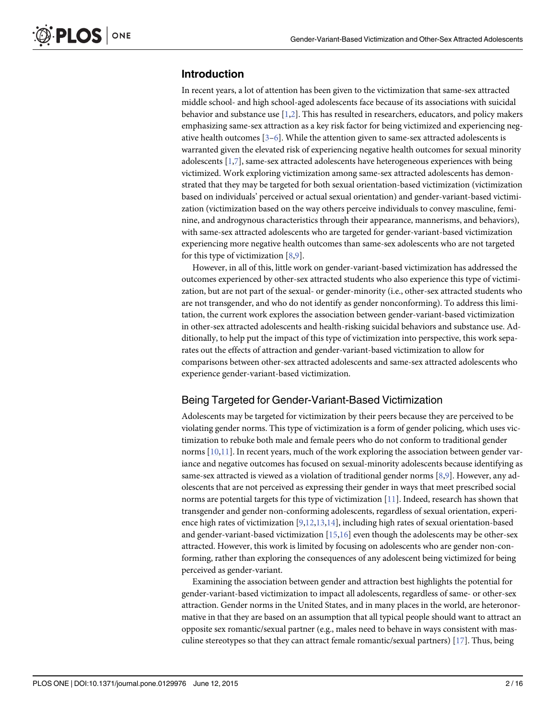# <span id="page-2-0"></span>Introduction

In recent years, a lot of attention has been given to the victimization that same-sex attracted middle school- and high school-aged adolescents face because of its associations with suicidal behavior and substance use  $[1,2]$  $[1,2]$ . This has resulted in researchers, educators, and policy makers emphasizing same-sex attraction as a key risk factor for being victimized and experiencing negative health outcomes  $[3-6]$  $[3-6]$  $[3-6]$  $[3-6]$ . While the attention given to same-sex attracted adolescents is warranted given the elevated risk of experiencing negative health outcomes for sexual minority adolescents [\[1,7\]](#page-15-0), same-sex attracted adolescents have heterogeneous experiences with being victimized. Work exploring victimization among same-sex attracted adolescents has demonstrated that they may be targeted for both sexual orientation-based victimization (victimization based on individuals' perceived or actual sexual orientation) and gender-variant-based victimization (victimization based on the way others perceive individuals to convey masculine, feminine, and androgynous characteristics through their appearance, mannerisms, and behaviors), with same-sex attracted adolescents who are targeted for gender-variant-based victimization experiencing more negative health outcomes than same-sex adolescents who are not targeted for this type of victimization [[8,9\]](#page-15-0).

However, in all of this, little work on gender-variant-based victimization has addressed the outcomes experienced by other-sex attracted students who also experience this type of victimization, but are not part of the sexual- or gender-minority (i.e., other-sex attracted students who are not transgender, and who do not identify as gender nonconforming). To address this limitation, the current work explores the association between gender-variant-based victimization in other-sex attracted adolescents and health-risking suicidal behaviors and substance use. Additionally, to help put the impact of this type of victimization into perspective, this work separates out the effects of attraction and gender-variant-based victimization to allow for comparisons between other-sex attracted adolescents and same-sex attracted adolescents who experience gender-variant-based victimization.

# Being Targeted for Gender-Variant-Based Victimization

Adolescents may be targeted for victimization by their peers because they are perceived to be violating gender norms. This type of victimization is a form of gender policing, which uses victimization to rebuke both male and female peers who do not conform to traditional gender norms  $[10,11]$ . In recent years, much of the work exploring the association between gender variance and negative outcomes has focused on sexual-minority adolescents because identifying as same-sex attracted is viewed as a violation of traditional gender norms [\[8,9\]](#page-15-0). However, any adolescents that are not perceived as expressing their gender in ways that meet prescribed social norms are potential targets for this type of victimization [[11](#page-15-0)]. Indeed, research has shown that transgender and gender non-conforming adolescents, regardless of sexual orientation, experience high rates of victimization  $[9,12,13,14]$  $[9,12,13,14]$ , including high rates of sexual orientation-based and gender-variant-based victimization  $[15,16]$  even though the adolescents may be other-sex attracted. However, this work is limited by focusing on adolescents who are gender non-conforming, rather than exploring the consequences of any adolescent being victimized for being perceived as gender-variant.

Examining the association between gender and attraction best highlights the potential for gender-variant-based victimization to impact all adolescents, regardless of same- or other-sex attraction. Gender norms in the United States, and in many places in the world, are heteronormative in that they are based on an assumption that all typical people should want to attract an opposite sex romantic/sexual partner (e.g., males need to behave in ways consistent with masculine stereotypes so that they can attract female romantic/sexual partners)  $[17]$ . Thus, being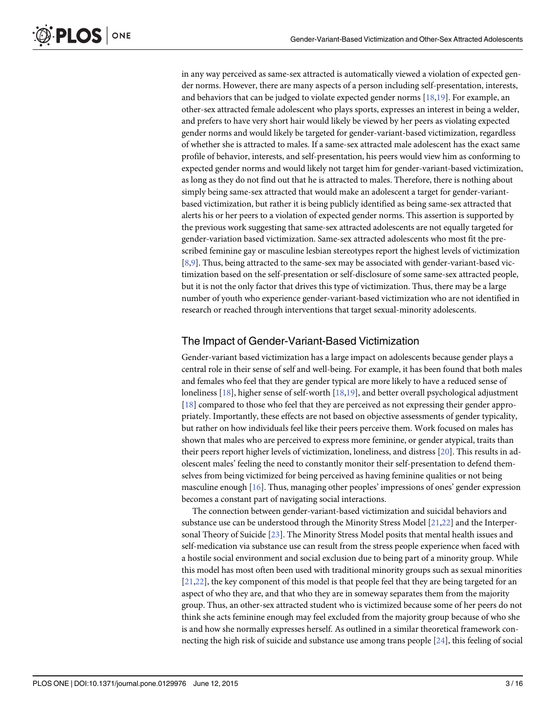<span id="page-3-0"></span>in any way perceived as same-sex attracted is automatically viewed a violation of expected gender norms. However, there are many aspects of a person including self-presentation, interests, and behaviors that can be judged to violate expected gender norms  $[18,19]$  $[18,19]$  $[18,19]$ . For example, an other-sex attracted female adolescent who plays sports, expresses an interest in being a welder, and prefers to have very short hair would likely be viewed by her peers as violating expected gender norms and would likely be targeted for gender-variant-based victimization, regardless of whether she is attracted to males. If a same-sex attracted male adolescent has the exact same profile of behavior, interests, and self-presentation, his peers would view him as conforming to expected gender norms and would likely not target him for gender-variant-based victimization, as long as they do not find out that he is attracted to males. Therefore, there is nothing about simply being same-sex attracted that would make an adolescent a target for gender-variantbased victimization, but rather it is being publicly identified as being same-sex attracted that alerts his or her peers to a violation of expected gender norms. This assertion is supported by the previous work suggesting that same-sex attracted adolescents are not equally targeted for gender-variation based victimization. Same-sex attracted adolescents who most fit the prescribed feminine gay or masculine lesbian stereotypes report the highest levels of victimization [\[8,9](#page-15-0)]. Thus, being attracted to the same-sex may be associated with gender-variant-based victimization based on the self-presentation or self-disclosure of some same-sex attracted people, but it is not the only factor that drives this type of victimization. Thus, there may be a large number of youth who experience gender-variant-based victimization who are not identified in research or reached through interventions that target sexual-minority adolescents.

### The Impact of Gender-Variant-Based Victimization

Gender-variant based victimization has a large impact on adolescents because gender plays a central role in their sense of self and well-being. For example, it has been found that both males and females who feel that they are gender typical are more likely to have a reduced sense of loneliness [[18](#page-15-0)], higher sense of self-worth [[18,19\]](#page-15-0), and better overall psychological adjustment [\[18](#page-15-0)] compared to those who feel that they are perceived as not expressing their gender appropriately. Importantly, these effects are not based on objective assessments of gender typicality, but rather on how individuals feel like their peers perceive them. Work focused on males has shown that males who are perceived to express more feminine, or gender atypical, traits than their peers report higher levels of victimization, loneliness, and distress [\[20\]](#page-15-0). This results in adolescent males' feeling the need to constantly monitor their self-presentation to defend themselves from being victimized for being perceived as having feminine qualities or not being masculine enough [[16](#page-15-0)]. Thus, managing other peoples' impressions of ones' gender expression becomes a constant part of navigating social interactions.

The connection between gender-variant-based victimization and suicidal behaviors and substance use can be understood through the Minority Stress Model  $[21,22]$  $[21,22]$  $[21,22]$  $[21,22]$  $[21,22]$  and the Interpersonal Theory of Suicide [[23](#page-15-0)]. The Minority Stress Model posits that mental health issues and self-medication via substance use can result from the stress people experience when faced with a hostile social environment and social exclusion due to being part of a minority group. While this model has most often been used with traditional minority groups such as sexual minorities [\[21,22\]](#page-15-0), the key component of this model is that people feel that they are being targeted for an aspect of who they are, and that who they are in someway separates them from the majority group. Thus, an other-sex attracted student who is victimized because some of her peers do not think she acts feminine enough may feel excluded from the majority group because of who she is and how she normally expresses herself. As outlined in a similar theoretical framework connecting the high risk of suicide and substance use among trans people [[24](#page-16-0)], this feeling of social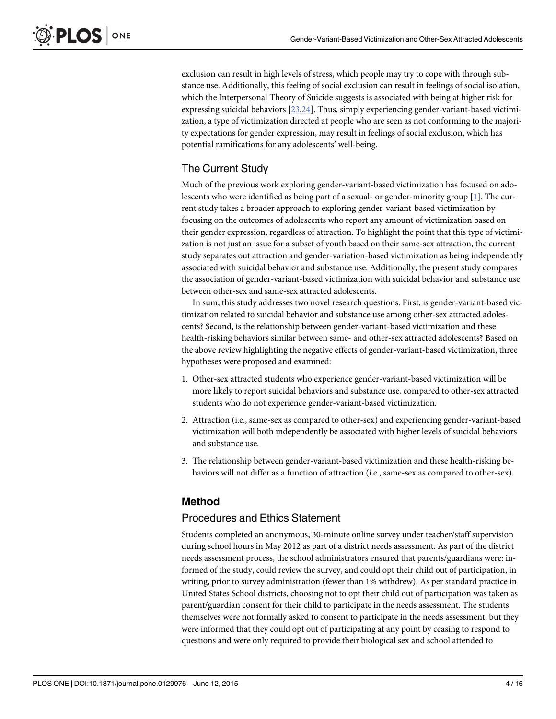exclusion can result in high levels of stress, which people may try to cope with through substance use. Additionally, this feeling of social exclusion can result in feelings of social isolation, which the Interpersonal Theory of Suicide suggests is associated with being at higher risk for expressing suicidal behaviors [[23](#page-15-0)[,24\]](#page-16-0). Thus, simply experiencing gender-variant-based victimization, a type of victimization directed at people who are seen as not conforming to the majority expectations for gender expression, may result in feelings of social exclusion, which has potential ramifications for any adolescents' well-being.

# The Current Study

Much of the previous work exploring gender-variant-based victimization has focused on adolescents who were identified as being part of a sexual- or gender-minority group [\[1](#page-15-0)]. The current study takes a broader approach to exploring gender-variant-based victimization by focusing on the outcomes of adolescents who report any amount of victimization based on their gender expression, regardless of attraction. To highlight the point that this type of victimization is not just an issue for a subset of youth based on their same-sex attraction, the current study separates out attraction and gender-variation-based victimization as being independently associated with suicidal behavior and substance use. Additionally, the present study compares the association of gender-variant-based victimization with suicidal behavior and substance use between other-sex and same-sex attracted adolescents.

In sum, this study addresses two novel research questions. First, is gender-variant-based victimization related to suicidal behavior and substance use among other-sex attracted adolescents? Second, is the relationship between gender-variant-based victimization and these health-risking behaviors similar between same- and other-sex attracted adolescents? Based on the above review highlighting the negative effects of gender-variant-based victimization, three hypotheses were proposed and examined:

- 1. Other-sex attracted students who experience gender-variant-based victimization will be more likely to report suicidal behaviors and substance use, compared to other-sex attracted students who do not experience gender-variant-based victimization.
- 2. Attraction (i.e., same-sex as compared to other-sex) and experiencing gender-variant-based victimization will both independently be associated with higher levels of suicidal behaviors and substance use.
- 3. The relationship between gender-variant-based victimization and these health-risking behaviors will not differ as a function of attraction (i.e., same-sex as compared to other-sex).

# Method

# Procedures and Ethics Statement

Students completed an anonymous, 30-minute online survey under teacher/staff supervision during school hours in May 2012 as part of a district needs assessment. As part of the district needs assessment process, the school administrators ensured that parents/guardians were: informed of the study, could review the survey, and could opt their child out of participation, in writing, prior to survey administration (fewer than 1% withdrew). As per standard practice in United States School districts, choosing not to opt their child out of participation was taken as parent/guardian consent for their child to participate in the needs assessment. The students themselves were not formally asked to consent to participate in the needs assessment, but they were informed that they could opt out of participating at any point by ceasing to respond to questions and were only required to provide their biological sex and school attended to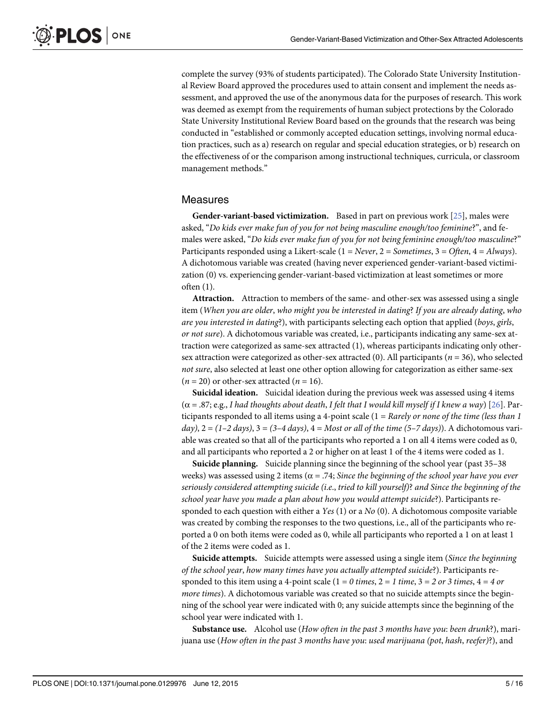<span id="page-5-0"></span>complete the survey (93% of students participated). The Colorado State University Institutional Review Board approved the procedures used to attain consent and implement the needs assessment, and approved the use of the anonymous data for the purposes of research. This work was deemed as exempt from the requirements of human subject protections by the Colorado State University Institutional Review Board based on the grounds that the research was being conducted in "established or commonly accepted education settings, involving normal education practices, such as a) research on regular and special education strategies, or b) research on the effectiveness of or the comparison among instructional techniques, curricula, or classroom management methods."

#### Measures

**Gender-variant-based victimization.** Based in part on previous work  $[25]$ , males were asked, "Do kids ever make fun of you for not being masculine enough/too feminine?", and females were asked, "Do kids ever make fun of you for not being feminine enough/too masculine?" Participants responded using a Likert-scale  $(1 = Never, 2 = Sometimes, 3 = Often, 4 = Always).$ A dichotomous variable was created (having never experienced gender-variant-based victimization (0) vs. experiencing gender-variant-based victimization at least sometimes or more often (1).

Attraction. Attraction to members of the same- and other-sex was assessed using a single item (When you are older, who might you be interested in dating? If you are already dating, who are you interested in dating?), with participants selecting each option that applied (boys, girls, or not sure). A dichotomous variable was created, i.e., participants indicating any same-sex attraction were categorized as same-sex attracted (1), whereas participants indicating only othersex attraction were categorized as other-sex attracted (0). All participants ( $n = 36$ ), who selected not sure, also selected at least one other option allowing for categorization as either same-sex  $(n = 20)$  or other-sex attracted  $(n = 16)$ .

**Suicidal ideation.** Suicidal ideation during the previous week was assessed using 4 items  $(\alpha = .87; e.g., I had thoughts about death, I felt that I would kill myself if I knew a way) [26]. Par (\alpha = .87; e.g., I had thoughts about death, I felt that I would kill myself if I knew a way) [26]. Par (\alpha = .87; e.g., I had thoughts about death, I felt that I would kill myself if I knew a way) [26]. Par$ ticipants responded to all items using a 4-point scale  $(1 = \text{Rarely or none of the time (less than 1$ day),  $2 = (1-2 \text{ days})$ ,  $3 = (3-4 \text{ days})$ ,  $4 = \text{Most or all of the time } (5-7 \text{ days})$ ). A dichotomous variable was created so that all of the participants who reported a 1 on all 4 items were coded as 0, and all participants who reported a 2 or higher on at least 1 of the 4 items were coded as 1.

Suicide planning. Suicide planning since the beginning of the school year (past 35–38 weeks) was assessed using 2 items ( $\alpha$  = .74; Since the beginning of the school year have you ever seriously considered attempting suicide (i.e., tried to kill yourself)? and Since the beginning of the school year have you made a plan about how you would attempt suicide?). Participants responded to each question with either a Yes  $(1)$  or a No  $(0)$ . A dichotomous composite variable was created by combing the responses to the two questions, i.e., all of the participants who reported a 0 on both items were coded as 0, while all participants who reported a 1 on at least 1 of the 2 items were coded as 1.

Suicide attempts. Suicide attempts were assessed using a single item (Since the beginning of the school year, how many times have you actually attempted suicide?). Participants responded to this item using a 4-point scale  $(1 = 0$  times,  $2 = 1$  time,  $3 = 2$  or 3 times,  $4 = 4$  or more times). A dichotomous variable was created so that no suicide attempts since the beginning of the school year were indicated with 0; any suicide attempts since the beginning of the school year were indicated with 1.

Substance use. Alcohol use (How often in the past 3 months have you: been drunk?), marijuana use (How often in the past 3 months have you: used marijuana (pot, hash, reefer)?), and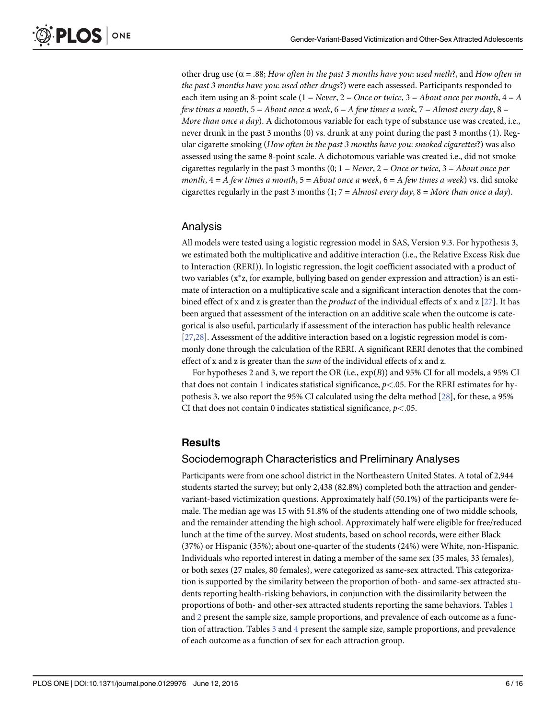<span id="page-6-0"></span>other drug use ( $\alpha$  = .88; How often in the past 3 months have you: used meth?, and How often in the past 3 months have you: used other drugs?) were each assessed. Participants responded to each item using an 8-point scale  $(1 = Never, 2 = Once or twice, 3 = About once per month, 4 = A)$ few times a month,  $5 =$  About once a week,  $6 =$  A few times a week,  $7 =$  Almost every day,  $8 =$ More than once a day). A dichotomous variable for each type of substance use was created, i.e., never drunk in the past 3 months (0) vs. drunk at any point during the past 3 months (1). Regular cigarette smoking (How often in the past 3 months have you: smoked cigarettes?) was also assessed using the same 8-point scale. A dichotomous variable was created i.e., did not smoke cigarettes regularly in the past 3 months  $(0; 1 = Never, 2 = Once or twice, 3 = About once per$ month,  $4 = A$  few times a month,  $5 = About$  once a week,  $6 = A$  few times a week) vs. did smoke cigarettes regularly in the past 3 months  $(1, 7 = Almost every day, 8 = More than once a day).$ 

# Analysis

All models were tested using a logistic regression model in SAS, Version 9.3. For hypothesis 3, we estimated both the multiplicative and additive interaction (i.e., the Relative Excess Risk due to Interaction (RERI)). In logistic regression, the logit coefficient associated with a product of two variables  $(x^*z,$  for example, bullying based on gender expression and attraction) is an estimate of interaction on a multiplicative scale and a significant interaction denotes that the combined effect of x and z is greater than the *product* of the individual effects of x and z [\[27\]](#page-16-0). It has been argued that assessment of the interaction on an additive scale when the outcome is categorical is also useful, particularly if assessment of the interaction has public health relevance [\[27,28\]](#page-16-0). Assessment of the additive interaction based on a logistic regression model is commonly done through the calculation of the RERI. A significant RERI denotes that the combined effect of x and z is greater than the sum of the individual effects of x and z.

For hypotheses 2 and 3, we report the OR (i.e., exp(B)) and 95% CI for all models, a 95% CI that does not contain 1 indicates statistical significance,  $p<0.05$ . For the RERI estimates for hypothesis 3, we also report the 95% CI calculated using the delta method [\[28\]](#page-16-0), for these, a 95% CI that does not contain 0 indicates statistical significance,  $p$ <.05.

# **Results**

# Sociodemograph Characteristics and Preliminary Analyses

Participants were from one school district in the Northeastern United States. A total of 2,944 students started the survey; but only 2,438 (82.8%) completed both the attraction and gendervariant-based victimization questions. Approximately half (50.1%) of the participants were female. The median age was 15 with 51.8% of the students attending one of two middle schools, and the remainder attending the high school. Approximately half were eligible for free/reduced lunch at the time of the survey. Most students, based on school records, were either Black (37%) or Hispanic (35%); about one-quarter of the students (24%) were White, non-Hispanic. Individuals who reported interest in dating a member of the same sex (35 males, 33 females), or both sexes (27 males, 80 females), were categorized as same-sex attracted. This categorization is supported by the similarity between the proportion of both- and same-sex attracted students reporting health-risking behaviors, in conjunction with the dissimilarity between the proportions of both- and other-sex attracted students reporting the same behaviors. Tables [1](#page-7-0) and [2](#page-7-0) present the sample size, sample proportions, and prevalence of each outcome as a function of attraction. Tables  $\frac{3}{2}$  $\frac{3}{2}$  $\frac{3}{2}$  and  $\frac{4}{2}$  $\frac{4}{2}$  $\frac{4}{2}$  present the sample size, sample proportions, and prevalence of each outcome as a function of sex for each attraction group.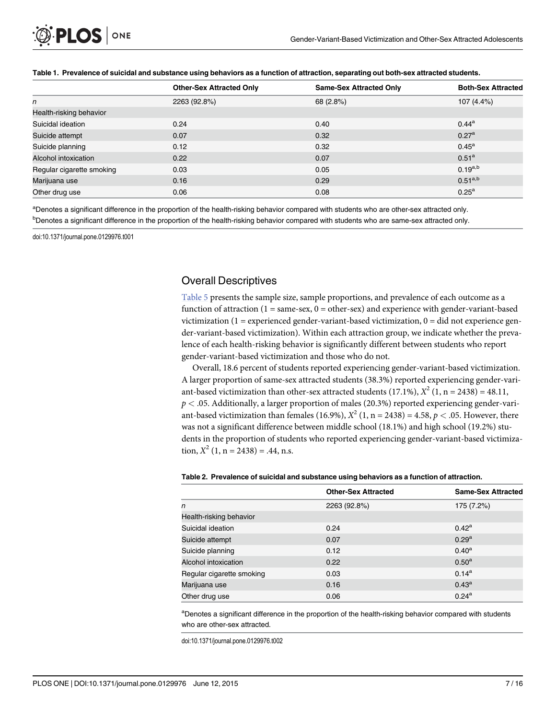<span id="page-7-0"></span>

|                           | <b>Other-Sex Attracted Only</b> | <b>Same-Sex Attracted Only</b> | <b>Both-Sex Attracted</b> |
|---------------------------|---------------------------------|--------------------------------|---------------------------|
| n                         | 2263 (92.8%)                    | 68 (2.8%)                      | 107 (4.4%)                |
| Health-risking behavior   |                                 |                                |                           |
| Suicidal ideation         | 0.24                            | 0.40                           | $0.44^{\rm a}$            |
| Suicide attempt           | 0.07                            | 0.32                           | $0.27^{\rm a}$            |
| Suicide planning          | 0.12                            | 0.32                           | $0.45^{\rm a}$            |
| Alcohol intoxication      | 0.22                            | 0.07                           | 0.51 <sup>a</sup>         |
| Regular cigarette smoking | 0.03                            | 0.05                           | $0.19^{a,b}$              |
| Marijuana use             | 0.16                            | 0.29                           | $0.51^{a,b}$              |
| Other drug use            | 0.06                            | 0.08                           | $0.25^{\rm a}$            |

#### [Table 1.](#page-6-0) Prevalence of suicidal and substance using behaviors as a function of attraction, separating out both-sex attracted students.

a<br>Denotes a significant difference in the proportion of the health-risking behavior compared with students who are other-sex attracted only.

b<br>**Denotes a significant difference in the proportion of the health-risking behavior compared with students who are same-sex attracted only.** 

doi:10.1371/journal.pone.0129976.t001

# Overall Descriptives

[Table 5](#page-9-0) presents the sample size, sample proportions, and prevalence of each outcome as a function of attraction  $(1 = same-sex, 0 = other-sex)$  and experience with gender-variant-based victimization  $(1 =$  experienced gender-variant-based victimization,  $0 =$  did not experience gender-variant-based victimization). Within each attraction group, we indicate whether the prevalence of each health-risking behavior is significantly different between students who report gender-variant-based victimization and those who do not.

Overall, 18.6 percent of students reported experiencing gender-variant-based victimization. A larger proportion of same-sex attracted students (38.3%) reported experiencing gender-variant-based victimization than other-sex attracted students (17.1%),  $X^2$  (1, n = 2438) = 48.11,  $p < .05$ . Additionally, a larger proportion of males (20.3%) reported experiencing gender-variant-based victimization than females (16.9%),  $X^2$  (1, n = 2438) = 4.58,  $p < .05$ . However, there was not a significant difference between middle school (18.1%) and high school (19.2%) students in the proportion of students who reported experiencing gender-variant-based victimization,  $X^2$  (1, n = 2438) = .44, n.s.

#### [Table 2.](#page-6-0) Prevalence of suicidal and substance using behaviors as a function of attraction.

|                           | <b>Other-Sex Attracted</b> | <b>Same-Sex Attracted</b> |
|---------------------------|----------------------------|---------------------------|
| n                         | 2263 (92.8%)               | 175 (7.2%)                |
| Health-risking behavior   |                            |                           |
| Suicidal ideation         | 0.24                       | $0.42^{\rm a}$            |
| Suicide attempt           | 0.07                       | $0.29^{a}$                |
| Suicide planning          | 0.12                       | $0.40^{\rm a}$            |
| Alcohol intoxication      | 0.22                       | $0.50^{\rm a}$            |
| Regular cigarette smoking | 0.03                       | $0.14^{a}$                |
| Marijuana use             | 0.16                       | $0.43^{\rm a}$            |
| Other drug use            | 0.06                       | $0.24^{a}$                |

<sup>a</sup>Denotes a significant difference in the proportion of the health-risking behavior compared with students who are other-sex attracted.

doi:10.1371/journal.pone.0129976.t002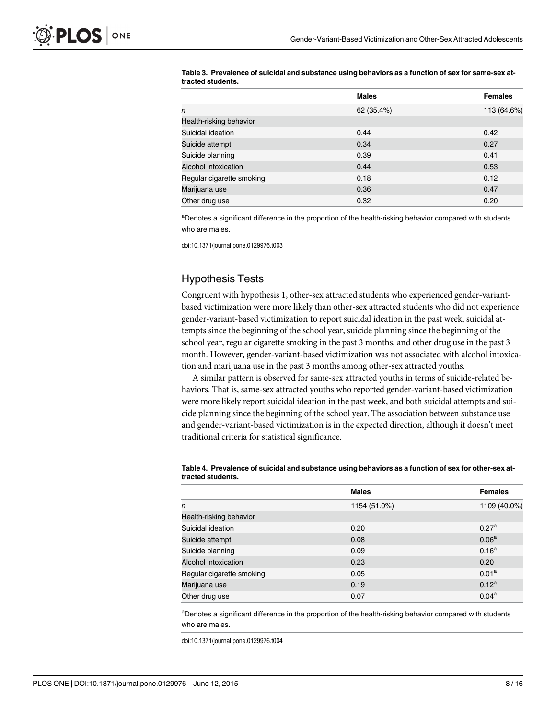|                           | <b>Males</b> | <b>Females</b> |
|---------------------------|--------------|----------------|
| n                         | 62 (35.4%)   | 113 (64.6%)    |
| Health-risking behavior   |              |                |
| Suicidal ideation         | 0.44         | 0.42           |
| Suicide attempt           | 0.34         | 0.27           |
| Suicide planning          | 0.39         | 0.41           |
| Alcohol intoxication      | 0.44         | 0.53           |
| Regular cigarette smoking | 0.18         | 0.12           |
| Marijuana use             | 0.36         | 0.47           |
| Other drug use            | 0.32         | 0.20           |

#### <span id="page-8-0"></span>[Table 3.](#page-6-0) Prevalence of suicidal and substance using behaviors as a function of sex for same-sex attracted students.

<sup>a</sup>Denotes a significant difference in the proportion of the health-risking behavior compared with students who are males.

doi:10.1371/journal.pone.0129976.t003

# Hypothesis Tests

Congruent with hypothesis 1, other-sex attracted students who experienced gender-variantbased victimization were more likely than other-sex attracted students who did not experience gender-variant-based victimization to report suicidal ideation in the past week, suicidal attempts since the beginning of the school year, suicide planning since the beginning of the school year, regular cigarette smoking in the past 3 months, and other drug use in the past 3 month. However, gender-variant-based victimization was not associated with alcohol intoxication and marijuana use in the past 3 months among other-sex attracted youths.

A similar pattern is observed for same-sex attracted youths in terms of suicide-related behaviors. That is, same-sex attracted youths who reported gender-variant-based victimization were more likely report suicidal ideation in the past week, and both suicidal attempts and suicide planning since the beginning of the school year. The association between substance use and gender-variant-based victimization is in the expected direction, although it doesn't meet traditional criteria for statistical significance.

|                           | <b>Males</b> | <b>Females</b>    |
|---------------------------|--------------|-------------------|
| n                         | 1154 (51.0%) | 1109 (40.0%)      |
| Health-risking behavior   |              |                   |
| Suicidal ideation         | 0.20         | 0.27 <sup>a</sup> |
| Suicide attempt           | 0.08         | 0.06 <sup>a</sup> |
| Suicide planning          | 0.09         | 0.16 <sup>a</sup> |
| Alcohol intoxication      | 0.23         | 0.20              |
| Regular cigarette smoking | 0.05         | 0.01 <sup>a</sup> |
| Marijuana use             | 0.19         | $0.12^a$          |
| Other drug use            | 0.07         | $0.04^{\rm a}$    |

#### [Table 4.](#page-6-0) Prevalence of suicidal and substance using behaviors as a function of sex for other-sex attracted students.

<sup>a</sup>Denotes a significant difference in the proportion of the health-risking behavior compared with students who are males.

doi:10.1371/journal.pone.0129976.t004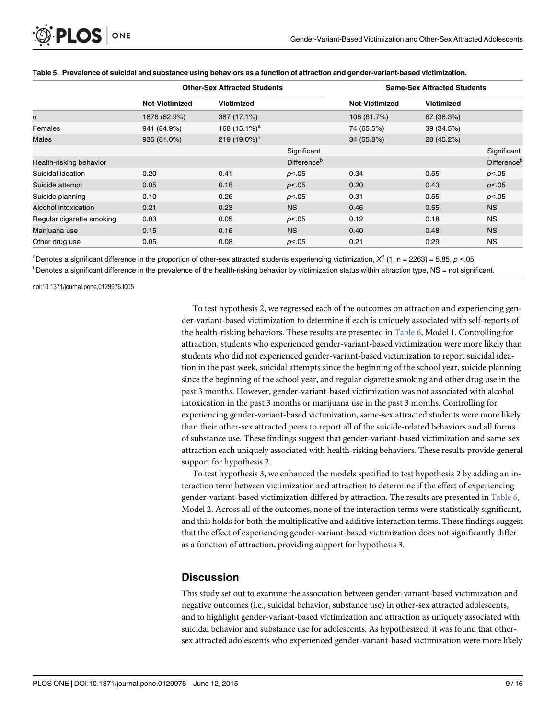|                           |                | <b>Other-Sex Attracted Students</b> |                         | <b>Same-Sex Attracted Students</b> |                   |                         |  |
|---------------------------|----------------|-------------------------------------|-------------------------|------------------------------------|-------------------|-------------------------|--|
|                           | Not-Victimized | <b>Victimized</b>                   |                         | Not-Victimized                     | <b>Victimized</b> |                         |  |
| n                         | 1876 (82.9%)   | 387 (17.1%)                         |                         | 108 (61.7%)                        | 67 (38.3%)        |                         |  |
| Females                   | 941 (84.9%)    | 168 $(15.1\%)^a$                    |                         | 74 (65.5%)                         | 39 (34.5%)        |                         |  |
| Males                     | 935 (81.0%)    | 219 $(19.0\%)^a$                    |                         | 34 (55.8%)                         | 28 (45.2%)        |                         |  |
|                           |                |                                     | Significant             |                                    |                   | Significant             |  |
| Health-risking behavior   |                |                                     | Difference <sup>b</sup> |                                    |                   | Difference <sup>b</sup> |  |
| Suicidal ideation         | 0.20           | 0.41                                | p<.05                   | 0.34                               | 0.55              | p<.05                   |  |
| Suicide attempt           | 0.05           | 0.16                                | p<.05                   | 0.20                               | 0.43              | p<.05                   |  |
| Suicide planning          | 0.10           | 0.26                                | p<.05                   | 0.31                               | 0.55              | p<.05                   |  |
| Alcohol intoxication      | 0.21           | 0.23                                | <b>NS</b>               | 0.46                               | 0.55              | <b>NS</b>               |  |
| Regular cigarette smoking | 0.03           | 0.05                                | p<.05                   | 0.12                               | 0.18              | <b>NS</b>               |  |
| Marijuana use             | 0.15           | 0.16                                | <b>NS</b>               | 0.40                               | 0.48              | <b>NS</b>               |  |
| Other drug use            | 0.05           | 0.08                                | p<.05                   | 0.21                               | 0.29              | <b>NS</b>               |  |

#### <span id="page-9-0"></span>[Table 5.](#page-7-0) Prevalence of suicidal and substance using behaviors as a function of attraction and gender-variant-based victimization.

aDenotes a significant difference in the proportion of other-sex attracted students experiencing victimization,  $X^2$  (1, n = 2263) = 5.85, p <.05. <sup>b</sup>Denotes a significant difference in the prevalence of the health-risking behavior by victimization status within attraction type, NS = not significant.

doi:10.1371/journal.pone.0129976.t005

To test hypothesis 2, we regressed each of the outcomes on attraction and experiencing gender-variant-based victimization to determine if each is uniquely associated with self-reports of the health-risking behaviors. These results are presented in [Table 6,](#page-10-0) Model 1. Controlling for attraction, students who experienced gender-variant-based victimization were more likely than students who did not experienced gender-variant-based victimization to report suicidal ideation in the past week, suicidal attempts since the beginning of the school year, suicide planning since the beginning of the school year, and regular cigarette smoking and other drug use in the past 3 months. However, gender-variant-based victimization was not associated with alcohol intoxication in the past 3 months or marijuana use in the past 3 months. Controlling for experiencing gender-variant-based victimization, same-sex attracted students were more likely than their other-sex attracted peers to report all of the suicide-related behaviors and all forms of substance use. These findings suggest that gender-variant-based victimization and same-sex attraction each uniquely associated with health-risking behaviors. These results provide general support for hypothesis 2.

To test hypothesis 3, we enhanced the models specified to test hypothesis 2 by adding an interaction term between victimization and attraction to determine if the effect of experiencing gender-variant-based victimization differed by attraction. The results are presented in [Table 6](#page-10-0), Model 2. Across all of the outcomes, none of the interaction terms were statistically significant, and this holds for both the multiplicative and additive interaction terms. These findings suggest that the effect of experiencing gender-variant-based victimization does not significantly differ as a function of attraction, providing support for hypothesis 3.

# **Discussion**

This study set out to examine the association between gender-variant-based victimization and negative outcomes (i.e., suicidal behavior, substance use) in other-sex attracted adolescents, and to highlight gender-variant-based victimization and attraction as uniquely associated with suicidal behavior and substance use for adolescents. As hypothesized, it was found that othersex attracted adolescents who experienced gender-variant-based victimization were more likely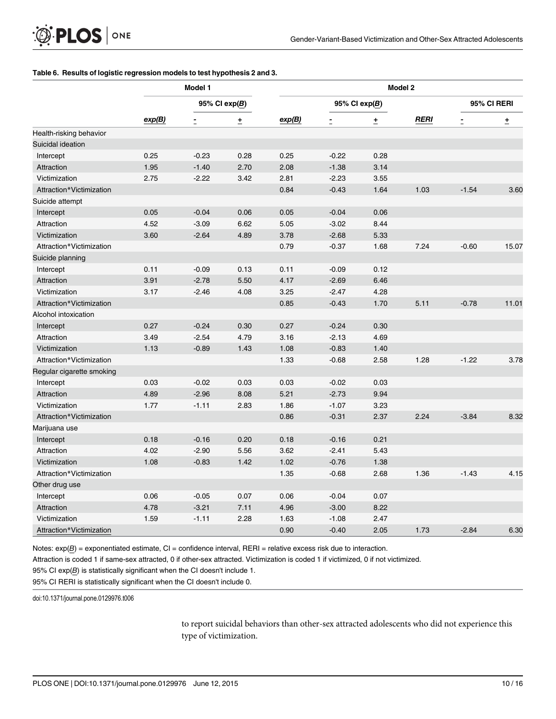#### <span id="page-10-0"></span>[Table 6.](#page-9-0) Results of logistic regression models to test hypothesis 2 and 3.

|                           | Model 1 |                 |      | Model 2         |         |             |             |                |       |
|---------------------------|---------|-----------------|------|-----------------|---------|-------------|-------------|----------------|-------|
|                           | exp(B)  | 95% CI $exp(B)$ |      | 95% CI $exp(B)$ |         | 95% CI RERI |             |                |       |
|                           |         | Ē               | ±    | exp(B)          |         | ±           | <b>RERI</b> | $\overline{a}$ | ±     |
| Health-risking behavior   |         |                 |      |                 |         |             |             |                |       |
| Suicidal ideation         |         |                 |      |                 |         |             |             |                |       |
| Intercept                 | 0.25    | $-0.23$         | 0.28 | 0.25            | $-0.22$ | 0.28        |             |                |       |
| Attraction                | 1.95    | $-1.40$         | 2.70 | 2.08            | $-1.38$ | 3.14        |             |                |       |
| Victimization             | 2.75    | $-2.22$         | 3.42 | 2.81            | $-2.23$ | 3.55        |             |                |       |
| Attraction*Victimization  |         |                 |      | 0.84            | $-0.43$ | 1.64        | 1.03        | $-1.54$        | 3.60  |
| Suicide attempt           |         |                 |      |                 |         |             |             |                |       |
| Intercept                 | 0.05    | $-0.04$         | 0.06 | 0.05            | $-0.04$ | 0.06        |             |                |       |
| Attraction                | 4.52    | $-3.09$         | 6.62 | 5.05            | $-3.02$ | 8.44        |             |                |       |
| Victimization             | 3.60    | $-2.64$         | 4.89 | 3.78            | $-2.68$ | 5.33        |             |                |       |
| Attraction*Victimization  |         |                 |      | 0.79            | $-0.37$ | 1.68        | 7.24        | $-0.60$        | 15.07 |
| Suicide planning          |         |                 |      |                 |         |             |             |                |       |
| Intercept                 | 0.11    | $-0.09$         | 0.13 | 0.11            | $-0.09$ | 0.12        |             |                |       |
| Attraction                | 3.91    | $-2.78$         | 5.50 | 4.17            | $-2.69$ | 6.46        |             |                |       |
| Victimization             | 3.17    | $-2.46$         | 4.08 | 3.25            | $-2.47$ | 4.28        |             |                |       |
| Attraction*Victimization  |         |                 |      | 0.85            | $-0.43$ | 1.70        | 5.11        | $-0.78$        | 11.01 |
| Alcohol intoxication      |         |                 |      |                 |         |             |             |                |       |
| Intercept                 | 0.27    | $-0.24$         | 0.30 | 0.27            | $-0.24$ | 0.30        |             |                |       |
| Attraction                | 3.49    | $-2.54$         | 4.79 | 3.16            | $-2.13$ | 4.69        |             |                |       |
| Victimization             | 1.13    | $-0.89$         | 1.43 | 1.08            | $-0.83$ | 1.40        |             |                |       |
| Attraction*Victimization  |         |                 |      | 1.33            | $-0.68$ | 2.58        | 1.28        | $-1.22$        | 3.78  |
| Regular cigarette smoking |         |                 |      |                 |         |             |             |                |       |
| Intercept                 | 0.03    | $-0.02$         | 0.03 | 0.03            | $-0.02$ | 0.03        |             |                |       |
| Attraction                | 4.89    | $-2.96$         | 8.08 | 5.21            | $-2.73$ | 9.94        |             |                |       |
| Victimization             | 1.77    | $-1.11$         | 2.83 | 1.86            | $-1.07$ | 3.23        |             |                |       |
| Attraction*Victimization  |         |                 |      | 0.86            | $-0.31$ | 2.37        | 2.24        | $-3.84$        | 8.32  |
| Marijuana use             |         |                 |      |                 |         |             |             |                |       |
| Intercept                 | 0.18    | $-0.16$         | 0.20 | 0.18            | $-0.16$ | 0.21        |             |                |       |
| Attraction                | 4.02    | $-2.90$         | 5.56 | 3.62            | $-2.41$ | 5.43        |             |                |       |
| Victimization             | 1.08    | $-0.83$         | 1.42 | 1.02            | $-0.76$ | 1.38        |             |                |       |
| Attraction*Victimization  |         |                 |      | 1.35            | $-0.68$ | 2.68        | 1.36        | $-1.43$        | 4.15  |
| Other drug use            |         |                 |      |                 |         |             |             |                |       |
| Intercept                 | 0.06    | $-0.05$         | 0.07 | 0.06            | $-0.04$ | 0.07        |             |                |       |
| Attraction                | 4.78    | $-3.21$         | 7.11 | 4.96            | $-3.00$ | 8.22        |             |                |       |
| Victimization             | 1.59    | $-1.11$         | 2.28 | 1.63            | $-1.08$ | 2.47        |             |                |       |
| Attraction*Victimization  |         |                 |      | 0.90            | $-0.40$ | 2.05        | 1.73        | $-2.84$        | 6.30  |

Notes:  $exp(B) =$  exponentiated estimate, CI = confidence interval, RERI = relative excess risk due to interaction.

Attraction is coded 1 if same-sex attracted, 0 if other-sex attracted. Victimization is coded 1 if victimized, 0 if not victimized.

95% CI exp(B) is statistically significant when the CI doesn't include 1.

95% CI RERI is statistically significant when the CI doesn't include 0.

doi:10.1371/journal.pone.0129976.t006

to report suicidal behaviors than other-sex attracted adolescents who did not experience this type of victimization.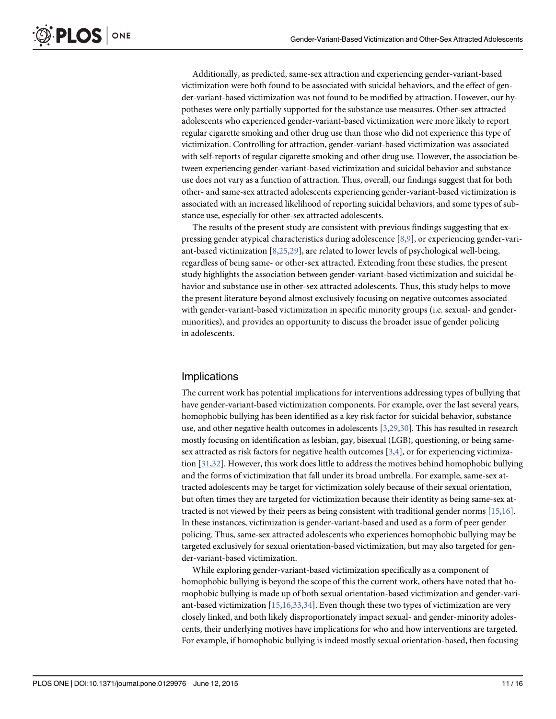<span id="page-11-0"></span>Additionally, as predicted, same-sex attraction and experiencing gender-variant-based victimization were both found to be associated with suicidal behaviors, and the effect of gender-variant-based victimization was not found to be modified by attraction. However, our hypotheses were only partially supported for the substance use measures. Other-sex attracted adolescents who experienced gender-variant-based victimization were more likely to report regular cigarette smoking and other drug use than those who did not experience this type of victimization. Controlling for attraction, gender-variant-based victimization was associated with self-reports of regular cigarette smoking and other drug use. However, the association between experiencing gender-variant-based victimization and suicidal behavior and substance use does not vary as a function of attraction. Thus, overall, our findings suggest that for both other- and same-sex attracted adolescents experiencing gender-variant-based victimization is associated with an increased likelihood of reporting suicidal behaviors, and some types of substance use, especially for other-sex attracted adolescents.

The results of the present study are consistent with previous findings suggesting that expressing gender atypical characteristics during adolescence  $[8,9]$  $[8,9]$ , or experiencing gender-variant-based victimization [\[8](#page-15-0)[,25,29\]](#page-16-0), are related to lower levels of psychological well-being, regardless of being same- or other-sex attracted. Extending from these studies, the present study highlights the association between gender-variant-based victimization and suicidal behavior and substance use in other-sex attracted adolescents. Thus, this study helps to move the present literature beyond almost exclusively focusing on negative outcomes associated with gender-variant-based victimization in specific minority groups (i.e. sexual- and genderminorities), and provides an opportunity to discuss the broader issue of gender policing in adolescents.

# Implications

The current work has potential implications for interventions addressing types of bullying that have gender-variant-based victimization components. For example, over the last several years, homophobic bullying has been identified as a key risk factor for suicidal behavior, substance use, and other negative health outcomes in adolescents  $[3,29,30]$  $[3,29,30]$  $[3,29,30]$  $[3,29,30]$  $[3,29,30]$  $[3,29,30]$ . This has resulted in research mostly focusing on identification as lesbian, gay, bisexual (LGB), questioning, or being same-sex attracted as risk factors for negative health outcomes [\[3,4\]](#page-15-0), or for experiencing victimization  $[31,32]$  $[31,32]$  $[31,32]$ . However, this work does little to address the motives behind homophobic bullying and the forms of victimization that fall under its broad umbrella. For example, same-sex attracted adolescents may be target for victimization solely because of their sexual orientation, but often times they are targeted for victimization because their identity as being same-sex attracted is not viewed by their peers as being consistent with traditional gender norms [[15](#page-15-0),[16](#page-15-0)]. In these instances, victimization is gender-variant-based and used as a form of peer gender policing. Thus, same-sex attracted adolescents who experiences homophobic bullying may be targeted exclusively for sexual orientation-based victimization, but may also targeted for gender-variant-based victimization.

While exploring gender-variant-based victimization specifically as a component of homophobic bullying is beyond the scope of this the current work, others have noted that homophobic bullying is made up of both sexual orientation-based victimization and gender-variant-based victimization [[15,16](#page-15-0),[33,34\]](#page-16-0). Even though these two types of victimization are very closely linked, and both likely disproportionately impact sexual- and gender-minority adolescents, their underlying motives have implications for who and how interventions are targeted. For example, if homophobic bullying is indeed mostly sexual orientation-based, then focusing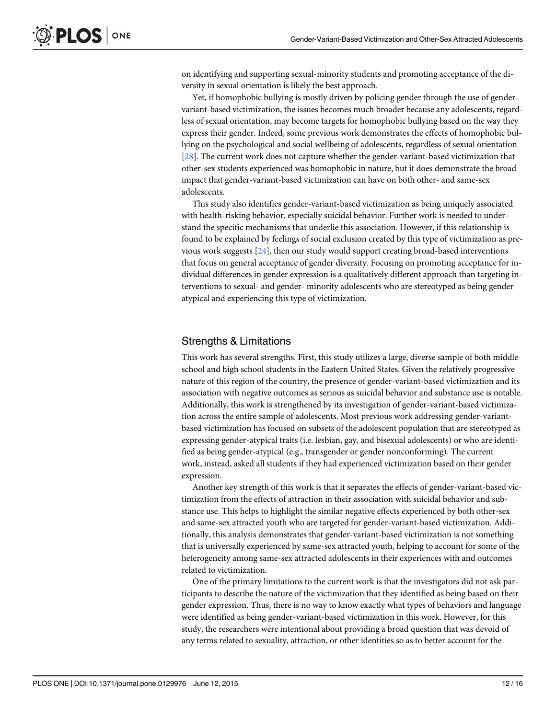on identifying and supporting sexual-minority students and promoting acceptance of the diversity in sexual orientation is likely the best approach.

Yet, if homophobic bullying is mostly driven by policing gender through the use of gendervariant-based victimization, the issues becomes much broader because any adolescents, regardless of sexual orientation, may become targets for homophobic bullying based on the way they express their gender. Indeed, some previous work demonstrates the effects of homophobic bullying on the psychological and social wellbeing of adolescents, regardless of sexual orientation [\[28](#page-16-0)]. The current work does not capture whether the gender-variant-based victimization that other-sex students experienced was homophobic in nature, but it does demonstrate the broad impact that gender-variant-based victimization can have on both other- and same-sex adolescents.

This study also identifies gender-variant-based victimization as being uniquely associated with health-risking behavior, especially suicidal behavior. Further work is needed to understand the specific mechanisms that underlie this association. However, if this relationship is found to be explained by feelings of social exclusion created by this type of victimization as previous work suggests [[24\]](#page-16-0), then our study would support creating broad-based interventions that focus on general acceptance of gender diversity. Focusing on promoting acceptance for individual differences in gender expression is a qualitatively different approach than targeting interventions to sexual- and gender- minority adolescents who are stereotyped as being gender atypical and experiencing this type of victimization.

### Strengths & Limitations

This work has several strengths. First, this study utilizes a large, diverse sample of both middle school and high school students in the Eastern United States. Given the relatively progressive nature of this region of the country, the presence of gender-variant-based victimization and its association with negative outcomes as serious as suicidal behavior and substance use is notable. Additionally, this work is strengthened by its investigation of gender-variant-based victimization across the entire sample of adolescents. Most previous work addressing gender-variantbased victimization has focused on subsets of the adolescent population that are stereotyped as expressing gender-atypical traits (i.e. lesbian, gay, and bisexual adolescents) or who are identified as being gender-atypical (e.g., transgender or gender nonconforming). The current work, instead, asked all students if they had experienced victimization based on their gender expression.

Another key strength of this work is that it separates the effects of gender-variant-based victimization from the effects of attraction in their association with suicidal behavior and substance use. This helps to highlight the similar negative effects experienced by both other-sex and same-sex attracted youth who are targeted for gender-variant-based victimization. Additionally, this analysis demonstrates that gender-variant-based victimization is not something that is universally experienced by same-sex attracted youth, helping to account for some of the heterogeneity among same-sex attracted adolescents in their experiences with and outcomes related to victimization.

One of the primary limitations to the current work is that the investigators did not ask participants to describe the nature of the victimization that they identified as being based on their gender expression. Thus, there is no way to know exactly what types of behaviors and language were identified as being gender-variant-based victimization in this work. However, for this study, the researchers were intentional about providing a broad question that was devoid of any terms related to sexuality, attraction, or other identities so as to better account for the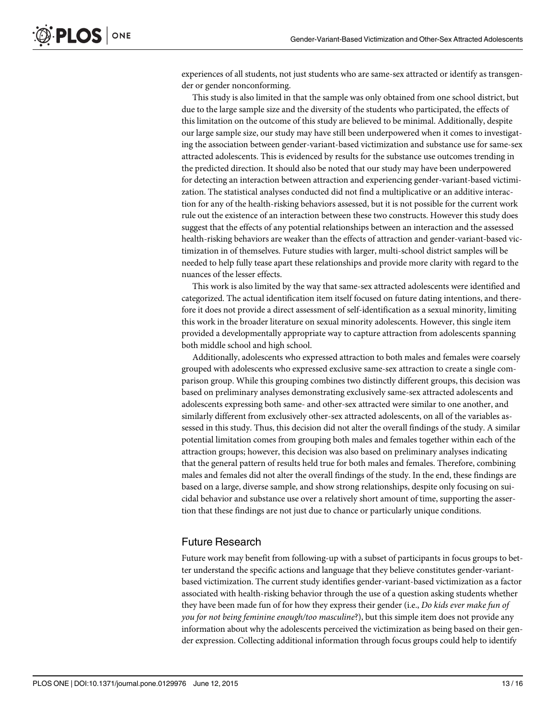experiences of all students, not just students who are same-sex attracted or identify as transgender or gender nonconforming.

This study is also limited in that the sample was only obtained from one school district, but due to the large sample size and the diversity of the students who participated, the effects of this limitation on the outcome of this study are believed to be minimal. Additionally, despite our large sample size, our study may have still been underpowered when it comes to investigating the association between gender-variant-based victimization and substance use for same-sex attracted adolescents. This is evidenced by results for the substance use outcomes trending in the predicted direction. It should also be noted that our study may have been underpowered for detecting an interaction between attraction and experiencing gender-variant-based victimization. The statistical analyses conducted did not find a multiplicative or an additive interaction for any of the health-risking behaviors assessed, but it is not possible for the current work rule out the existence of an interaction between these two constructs. However this study does suggest that the effects of any potential relationships between an interaction and the assessed health-risking behaviors are weaker than the effects of attraction and gender-variant-based victimization in of themselves. Future studies with larger, multi-school district samples will be needed to help fully tease apart these relationships and provide more clarity with regard to the nuances of the lesser effects.

This work is also limited by the way that same-sex attracted adolescents were identified and categorized. The actual identification item itself focused on future dating intentions, and therefore it does not provide a direct assessment of self-identification as a sexual minority, limiting this work in the broader literature on sexual minority adolescents. However, this single item provided a developmentally appropriate way to capture attraction from adolescents spanning both middle school and high school.

Additionally, adolescents who expressed attraction to both males and females were coarsely grouped with adolescents who expressed exclusive same-sex attraction to create a single comparison group. While this grouping combines two distinctly different groups, this decision was based on preliminary analyses demonstrating exclusively same-sex attracted adolescents and adolescents expressing both same- and other-sex attracted were similar to one another, and similarly different from exclusively other-sex attracted adolescents, on all of the variables assessed in this study. Thus, this decision did not alter the overall findings of the study. A similar potential limitation comes from grouping both males and females together within each of the attraction groups; however, this decision was also based on preliminary analyses indicating that the general pattern of results held true for both males and females. Therefore, combining males and females did not alter the overall findings of the study. In the end, these findings are based on a large, diverse sample, and show strong relationships, despite only focusing on suicidal behavior and substance use over a relatively short amount of time, supporting the assertion that these findings are not just due to chance or particularly unique conditions.

# Future Research

Future work may benefit from following-up with a subset of participants in focus groups to better understand the specific actions and language that they believe constitutes gender-variantbased victimization. The current study identifies gender-variant-based victimization as a factor associated with health-risking behavior through the use of a question asking students whether they have been made fun of for how they express their gender (i.e., Do kids ever make fun of you for not being feminine enough/too masculine?), but this simple item does not provide any information about why the adolescents perceived the victimization as being based on their gender expression. Collecting additional information through focus groups could help to identify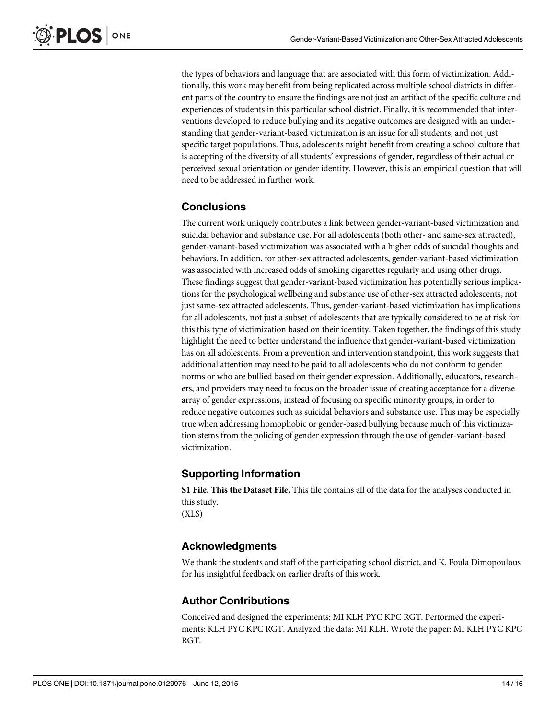the types of behaviors and language that are associated with this form of victimization. Additionally, this work may benefit from being replicated across multiple school districts in different parts of the country to ensure the findings are not just an artifact of the specific culture and experiences of students in this particular school district. Finally, it is recommended that interventions developed to reduce bullying and its negative outcomes are designed with an understanding that gender-variant-based victimization is an issue for all students, and not just specific target populations. Thus, adolescents might benefit from creating a school culture that is accepting of the diversity of all students' expressions of gender, regardless of their actual or perceived sexual orientation or gender identity. However, this is an empirical question that will need to be addressed in further work.

# **Conclusions**

The current work uniquely contributes a link between gender-variant-based victimization and suicidal behavior and substance use. For all adolescents (both other- and same-sex attracted), gender-variant-based victimization was associated with a higher odds of suicidal thoughts and behaviors. In addition, for other-sex attracted adolescents, gender-variant-based victimization was associated with increased odds of smoking cigarettes regularly and using other drugs. These findings suggest that gender-variant-based victimization has potentially serious implications for the psychological wellbeing and substance use of other-sex attracted adolescents, not just same-sex attracted adolescents. Thus, gender-variant-based victimization has implications for all adolescents, not just a subset of adolescents that are typically considered to be at risk for this this type of victimization based on their identity. Taken together, the findings of this study highlight the need to better understand the influence that gender-variant-based victimization has on all adolescents. From a prevention and intervention standpoint, this work suggests that additional attention may need to be paid to all adolescents who do not conform to gender norms or who are bullied based on their gender expression. Additionally, educators, researchers, and providers may need to focus on the broader issue of creating acceptance for a diverse array of gender expressions, instead of focusing on specific minority groups, in order to reduce negative outcomes such as suicidal behaviors and substance use. This may be especially true when addressing homophobic or gender-based bullying because much of this victimization stems from the policing of gender expression through the use of gender-variant-based victimization.

# Supporting Information

[S1 File.](http://www.plosone.org/article/fetchSingleRepresentation.action?uri=info:doi/10.1371/journal.pone.0129976.s001) This the Dataset File. This file contains all of the data for the analyses conducted in this study.

(XLS)

# Acknowledgments

We thank the students and staff of the participating school district, and K. Foula Dimopoulous for his insightful feedback on earlier drafts of this work.

# Author Contributions

Conceived and designed the experiments: MI KLH PYC KPC RGT. Performed the experiments: KLH PYC KPC RGT. Analyzed the data: MI KLH. Wrote the paper: MI KLH PYC KPC RGT.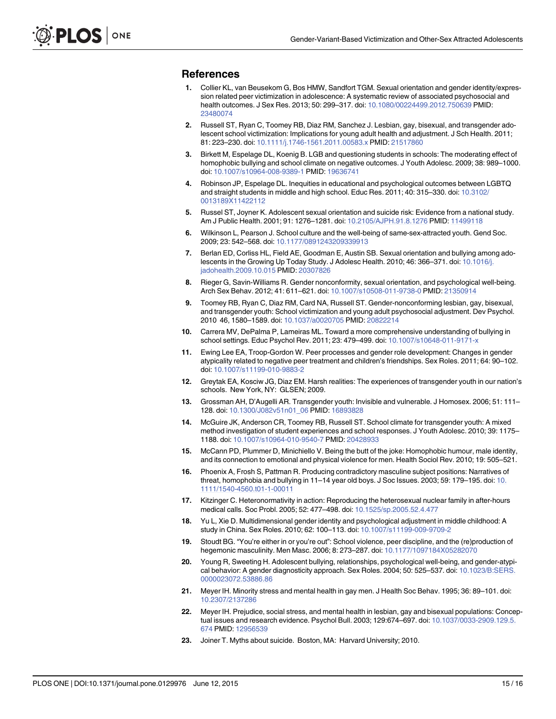### <span id="page-15-0"></span>References

- [1.](#page-2-0) Collier KL, van Beusekom G, Bos HMW, Sandfort TGM. Sexual orientation and gender identity/expression related peer victimization in adolescence: A systematic review of associated psychosocial and health outcomes. J Sex Res. 2013; 50: 299–317. doi: [10.1080/00224499.2012.750639](http://dx.doi.org/10.1080/00224499.2012.750639) PMID: [23480074](http://www.ncbi.nlm.nih.gov/pubmed/23480074)
- [2.](#page-2-0) Russell ST, Ryan C, Toomey RB, Diaz RM, Sanchez J. Lesbian, gay, bisexual, and transgender adolescent school victimization: Implications for young adult health and adjustment. J Sch Health. 2011; 81: 223–230. doi: [10.1111/j.1746-1561.2011.00583.x](http://dx.doi.org/10.1111/j.1746-1561.2011.00583.x) PMID: [21517860](http://www.ncbi.nlm.nih.gov/pubmed/21517860)
- [3.](#page-2-0) Birkett M, Espelage DL, Koenig B. LGB and questioning students in schools: The moderating effect of homophobic bullying and school climate on negative outcomes. J Youth Adolesc. 2009; 38: 989–1000. doi: [10.1007/s10964-008-9389-1](http://dx.doi.org/10.1007/s10964-008-9389-1) PMID: [19636741](http://www.ncbi.nlm.nih.gov/pubmed/19636741)
- [4.](#page-11-0) Robinson JP, Espelage DL. Inequities in educational and psychological outcomes between LGBTQ and straight students in middle and high school. Educ Res. 2011; 40: 315–330. doi: [10.3102/](http://dx.doi.org/10.3102/0013189X11422112) [0013189X11422112](http://dx.doi.org/10.3102/0013189X11422112)
- 5. Russel ST, Joyner K. Adolescent sexual orientation and suicide risk: Evidence from a national study. Am J Public Health. 2001; 91: 1276–1281. doi: [10.2105/AJPH.91.8.1276](http://dx.doi.org/10.2105/AJPH.91.8.1276) PMID: [11499118](http://www.ncbi.nlm.nih.gov/pubmed/11499118)
- [6.](#page-2-0) Wilkinson L, Pearson J. School culture and the well-being of same-sex-attracted youth. Gend Soc. 2009; 23: 542–568. doi: [10.1177/0891243209339913](http://dx.doi.org/10.1177/0891243209339913)
- [7.](#page-2-0) Berlan ED, Corliss HL, Field AE, Goodman E, Austin SB. Sexual orientation and bullying among adolescents in the Growing Up Today Study. J Adolesc Health. 2010; 46: 366–371. doi: [10.1016/j.](http://dx.doi.org/10.1016/j.jadohealth.2009.10.015) [jadohealth.2009.10.015](http://dx.doi.org/10.1016/j.jadohealth.2009.10.015) PMID: [20307826](http://www.ncbi.nlm.nih.gov/pubmed/20307826)
- [8.](#page-2-0) Rieger G, Savin-Williams R. Gender nonconformity, sexual orientation, and psychological well-being. Arch Sex Behav. 2012; 41: 611–621. doi: [10.1007/s10508-011-9738-0](http://dx.doi.org/10.1007/s10508-011-9738-0) PMID: [21350914](http://www.ncbi.nlm.nih.gov/pubmed/21350914)
- [9.](#page-2-0) Toomey RB, Ryan C, Diaz RM, Card NA, Russell ST. Gender-nonconforming lesbian, gay, bisexual, and transgender youth: School victimization and young adult psychosocial adjustment. Dev Psychol. 2010 46, 1580–1589. doi: [10.1037/a0020705](http://dx.doi.org/10.1037/a0020705) PMID: [20822214](http://www.ncbi.nlm.nih.gov/pubmed/20822214)
- [10.](#page-2-0) Carrera MV, DePalma P, Lameiras ML. Toward a more comprehensive understanding of bullying in school settings. Educ Psychol Rev. 2011; 23: 479-499. doi: [10.1007/s10648-011-9171-x](http://dx.doi.org/10.1007/s10648-011-9171-x)
- [11.](#page-2-0) Ewing Lee EA, Troop-Gordon W. Peer processes and gender role development: Changes in gender atypicality related to negative peer treatment and children's friendships. Sex Roles. 2011; 64: 90–102. doi: [10.1007/s11199-010-9883-2](http://dx.doi.org/10.1007/s11199-010-9883-2)
- [12.](#page-2-0) Greytak EA, Kosciw JG, Diaz EM. Harsh realities: The experiences of transgender youth in our nation's schools. New York, NY: GLSEN; 2009.
- [13.](#page-2-0) Grossman AH, D'Augelli AR. Transgender youth: Invisible and vulnerable. J Homosex. 2006; 51: 111– 128. doi: [10.1300/J082v51n01\\_06](http://dx.doi.org/10.1300/J082v51n01_06) PMID: [16893828](http://www.ncbi.nlm.nih.gov/pubmed/16893828)
- [14.](#page-2-0) McGuire JK, Anderson CR, Toomey RB, Russell ST. School climate for transgender youth: A mixed method investigation of student experiences and school responses. J Youth Adolesc. 2010; 39: 1175– 1188. doi: [10.1007/s10964-010-9540-7](http://dx.doi.org/10.1007/s10964-010-9540-7) PMID: [20428933](http://www.ncbi.nlm.nih.gov/pubmed/20428933)
- [15.](#page-2-0) McCann PD, Plummer D, Minichiello V. Being the butt of the joke: Homophobic humour, male identity, and its connection to emotional and physical violence for men. Health Sociol Rev. 2010; 19: 505–521.
- [16.](#page-2-0) Phoenix A, Frosh S, Pattman R. Producing contradictory masculine subject positions: Narratives of threat, homophobia and bullying in 11-14 year old boys. J Soc Issues. 2003; 59: 179-195. doi: [10.](http://dx.doi.org/10.1111/1540-4560.t01-1-00011) [1111/1540-4560.t01-1-00011](http://dx.doi.org/10.1111/1540-4560.t01-1-00011)
- [17.](#page-2-0) Kitzinger C. Heteronormativity in action: Reproducing the heterosexual nuclear family in after-hours medical calls. Soc Probl. 2005; 52: 477–498. doi: [10.1525/sp.2005.52.4.477](http://dx.doi.org/10.1525/sp.2005.52.4.477)
- [18.](#page-3-0) Yu L, Xie D. Multidimensional gender identity and psychological adjustment in middle childhood: A study in China. Sex Roles. 2010; 62: 100–113. doi: [10.1007/s11199-009-9709-2](http://dx.doi.org/10.1007/s11199-009-9709-2)
- [19.](#page-3-0) Stoudt BG. "You're either in or you're out": School violence, peer discipline, and the (re)production of hegemonic masculinity. Men Masc. 2006; 8: 273–287. doi: [10.1177/1097184X05282070](http://dx.doi.org/10.1177/1097184X05282070)
- [20.](#page-3-0) Young R, Sweeting H. Adolescent bullying, relationships, psychological well-being, and gender-atypical behavior: A gender diagnosticity approach. Sex Roles. 2004; 50: 525–537. doi: [10.1023/B:SERS.](http://dx.doi.org/10.1023/B:SERS.0000023072.53886.86) [0000023072.53886.86](http://dx.doi.org/10.1023/B:SERS.0000023072.53886.86)
- [21.](#page-3-0) Meyer IH. Minority stress and mental health in gay men. J Health Soc Behav. 1995; 36: 89–101. doi: [10.2307/2137286](http://dx.doi.org/10.2307/2137286)
- [22.](#page-3-0) Meyer IH. Prejudice, social stress, and mental health in lesbian, gay and bisexual populations: Conceptual issues and research evidence. Psychol Bull. 2003; 129:674–697. doi: [10.1037/0033-2909.129.5.](http://dx.doi.org/10.1037/0033-2909.129.5.674) [674](http://dx.doi.org/10.1037/0033-2909.129.5.674) PMID: [12956539](http://www.ncbi.nlm.nih.gov/pubmed/12956539)
- [23.](#page-3-0) Joiner T. Myths about suicide. Boston, MA: Harvard University; 2010.